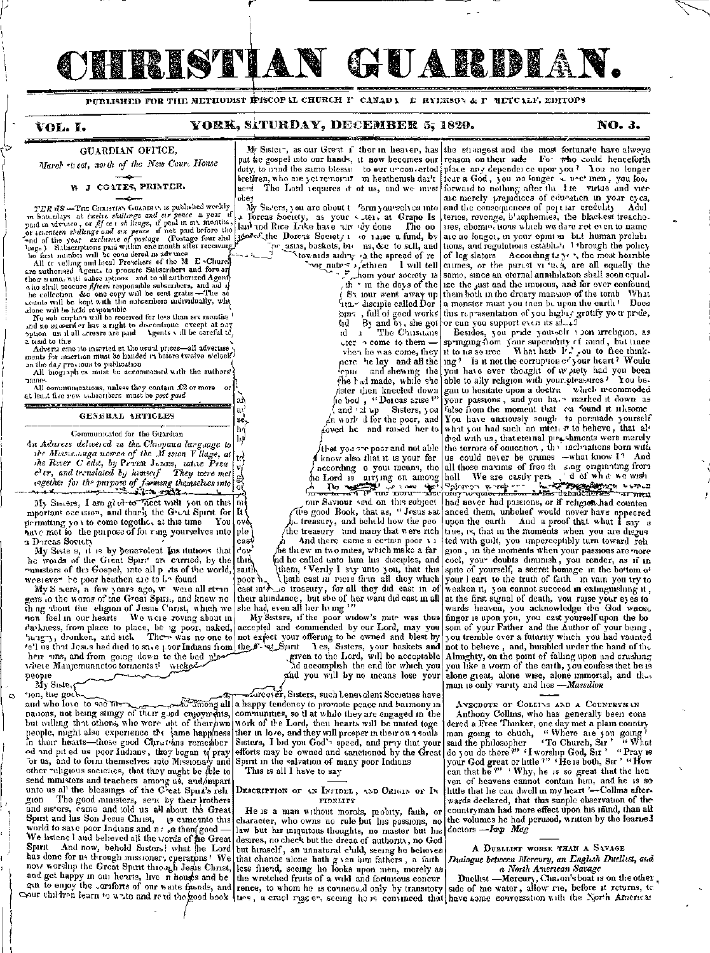# HRISTIAN GUARDIAN.

PUBLISHED FOR THE METHODIST PISCOPAL CRURCH I CANADA E RYERSON & F METCALF, EDITOPS

# VOL. I.

# YORK, SATURDAY, DECEMBER 5, 1829.

NO. 3.

# GUARDIAN OFFICE,

March etrect, north of the New Court House

# W J COATES, PRINTER.

TILR MS --- THE CHRISTIAN GUARDIN IS published weekly

TER NS — THE CHRISTIAN GUARDINX is published weekly<br>in Saturity's at twelte shillings and str pence a year of<br>paid in various, or fif ee to shillings, if paid in six months,<br>or seconders shillings and str pence is not pai

alone will be noted responsible<br>
No sub criterial to second for less than sex months<br>
ind no subserier has a raght to discontinue oxcept at  $\sigma_2 \tau$ <br>
ppion un il all arrests are paid the pents vill be careful to-<br>
a tend t

A tend to this<br>Advertising the metrical at the usual prices—all advertise<br>ments for meeticon must be handed in before twelve o'clock?

an the day previous to publication (and the subset of the day previous to publication (All biograph es must be accompanied with the suthors'

All communications, unless they contain £2 or more<br>at least five rew subscribers must be *post paid* aÀ 

 $\mathbf{a}$ 

se,

hή

**GENERAL ARTICLES** 

# Communicated for the Guardian

hþ An Adaress delivered in the Chippana larguage to the Missistaniga nomea of the M ssion Vilage, at<br>the River C edit, by Pryen Jones, tattle Prea<br>c'er, and trenslated by himself They ucce met te |a)<br>|ଦା cogether for the purpose of farming themselves into

My Sissers, I am glid-to-acet with you on this memportant occ islon, and thank the Guest Spirit for It m permitting you to come together at this time You ové have met to the purpose of for ring yourselves into ple 2 Dureas Society .<br>casγ

My Siste s, it is by benevolent Insitutions that<br>he words of the Great Spirit an extrict, by the dav thin ministers of the Gospel, into all p its of the world, saith westeve\* be poor heathen are to L<sup>4</sup> found

My S stere, a few years ago, w were all strin gers to the words of the Great Spint, and knew no th ng about the eligion of Jesus Carist, which we We were roving about in non feel in our hearts darkness, from place to place, be a poor, naked, burght, dranken, and sick. There was no one to te'l us that Jesus had died to save poor Indians from the B. heir sins, and from going down to the bad place

# peopie<br>My Siste,

 $\ddot{\circ}$ 

non, the gods nations, not being stingy of their good emoyments, but willing that others, who were not of their own people, might also experience the lame happness in their hearts-these good Chrattans remember ed and pit ed us poor Indians, they began to pray<br>or us, and to form themselves into Missionary and other religious societies, that they might be the to send ministers and teachers among uš, and/impart unto us al' the blessings of the Great Sput's reli The good numsters, send by their prothers  $\alpha$ <sub>10</sub>n and sisters, came and told us all about the Great<br>Spirit and his Son Jesus Christ, to exment<br>to this world to save poor Indians and n: ,e then good -We listene I and beheved all the words of the Great And now, behold Sisters! what he Lord Spirit has done for us through missionart eperatons! We now worship the Great Spirit through Jesus Christ, and get happy in our hearts, live n houses and be an to enjoy the corribots of our waite familis, and

Mr Sister", as our Great  $\Gamma$  ther in heaven, has put he gospel into our hands, it now becomes our duty, to nand the same blessn to our unconverted brethren, who are yet remarnit in heathenish dark The Lord requires it of us, and we must poed obey

My Sisters, you are about to form you selves into a Porcas Society, as your suches at Grape Is Jeoval the Dorens Society 1 to laise a fund, by  $\pi$  asins, baskets, bi and  $\alpha$  tune, by

towards aiding a the spread of re And a strip of the speed of the speed of the speed of the speed of the speed of the speed of the speed of the speed of the speed of the speed of the speed of the speed of the speed of the speed of the speed of the speed of f 83 nous wears and Dor bm<sup>3</sup>, full of good works<br>
and by, she got<br>
and by, she got<br>
d a The Chisaans cter  $\gamma$  come to them vhen he was come, they pere he lay and all the the had made, while she Aster then kneeled down he bod , "Dorcas arise " and at up Sisters, you In work d for the poor, and doved he and raised her to

that you are poor and not able A know also that it is your fer according o you means, the he Lord is airying on among  $\frac{10}{10}$   $\frac{10}{10}$   $\frac{10}{10}$   $\frac{10}{10}$   $\frac{10}{10}$   $\frac{10}{10}$   $\frac{10}{10}$   $\frac{10}{10}$   $\frac{10}{10}$   $\frac{10}{10}$ our Saviour said on this subject The good Book, that as, "Jesus sat he treasury, and beheld how the peo the treasury and many that were rich And there came a certain poor 11

he threw in two mites, which make a far nd he called unto him liis disciples, and them, Verily I say unto you, that this poor *i* hath cast m more than all they which cast in d Le treasury, for all they did cast in of their abundance, but she of her want did cast in all<br>she had, even all her hung '"

My Sisters, if the poor widow's mite was thus accepted and commended by our Lord, may you not expect your offering to be owned and blest by et Spirit 1es, Sisters, your baskets and given to the Lord, will be acceptable<br>at accomplish the end for which you

and you will by no means lose your

Corcover, Sisters, such Lenevolent Societies have rested among all a happy tendency to promote peace and harmony in communities, so if at while they are engaged in the work of the Lord, then hearts will be united toge work of the Lord, then theates will be amon together in love, and they will prosper in their own souls<br>Sisters, I bid you God's speed, and pray that your<br>efforts may be owned and sanctioned by the Great Spirit in the salvation of many poor Indians This is all I have to say

# DESCRIPTION OF AN INFIDEL, AND ORIGIN OF IN FIDELITY

He is a man without morals, probity, faith, or character, who owns no rule but his passions, no<br>law but his iniquitous thoughts, no master but his desires, no check but the dread of authority, no God but himself, an unnatural c'uld, seeing he believes that chance alone hath g ven him fathers, a faith less fiierd, seeing ho looks upon men, merely as the wretched fruits of a wild and fortuitous concurrence, to whom he is connected only by transitory Cour children learn to wate and read the good book time, a cruel rag en, seeing he is convinced that have some conversation with the North American

the strongest and the most fortunate have always reason on their side For who could henceforth place any depender ce upor you? You no longer fear a God, you no longer & vect men, you look forward to nothing after this life victue and vice are merely prejudices of education in your eyes, and the consequences of polytiar credulity Adul teries, revenge, b'asphemies, the blackest treache. 11es, abominations which we dare not even to name are no longer, in your opinion but human prohibi tions, and regulations established  $\frac{1}{2}$  through the policy of log slators According to yet, the most hornble cumes, or the purest vi 'u.s, are all equally the same, since an eternal annihilation shall soon equalize the just and the impious, and for ever confound St jour went away up them both in the dreary mansier of the tomb What a monster must you toen be upon the earth ! Doca this representation of you highly gratify your pride, or can you support even its id....?

Besides, you pride yourself toon irreligion, as springing from your superiority of mind, but trace<br>it to us so iree What hath Ir.', you to fice think.<br> $\log^3$  Is it not the corruption of your heart? Would you have ever thought of w nety had you been<br>able to ally religion with your-pleasures? You began to hesitate upon a doctra which irrommoded<br>your passions, and you ha. marked it down as false from the moment that cu found it itksome You have anxiously sough to porsuade yourself what you had such an interest to believe, that all died with us, that eternal propolarization were merely the terrors of equeation, the includations been with us could never be crimes -what know I? And all those maxims of free the sing originating from hell We are easily persected of what we wish hell We are easily pers dof what we wish<br>Solomon worst pers between the specific whole had never had passions, or if religion had counten anced them, unbehef would never have appeared upon the earth And a proof that what  $\mathbf{f}$  say s tive, is, that in the moments when you are disrus ted with guilt, you imperceptibly turn toward reh gion, in the moments when your passions are more cool, your doubts diminish, you render, as if in spite of yourself, a secret homage in the bottom of your leart to the truth of faith n vain you try to weaken it, you cannot succeed in extinguishing it, at the first signal of death, you raise your eyes to wards heaven, you acknowledge the God wnose finger is upon you, you cast yourself upon the bo<br>som of your Father and the Author of your being, you temble over a futurity which you had vaunted<br>not to believe, and, humbled urder the hand of the Almighty, on the point of falling upon and crushing you like a worm of the earth, you confess that he is alone great, alone wise, alone immortal, and thue man is only varity and lies -Massillon

ANECDOTE OF COLLINS AND A COUNTRYMAN Anthony Collins, who has generally been cons dered a Free Thinker, one day met a plain country dered a Free Thinker, one only move in the man going?<br>man going to chuch, "Where are you going?" said the philosopher<br>do you do there?" 'To Church, Sir ' " What<br>do you do there?" 'I worship God, Sir ' " Pray is<br>your God great or little?" 'He is soo great that the text<br>can that be ?" ' Why, he is soo great that the les ven of heavens cannot contain him, and he is so little that he can dwell in my heart '--Collins afterwards declared, that this sample observation of the countryman had more effect upon his mind, than all the volumes he had perused, written by the learned doctors  $-\mathit{Imp}\ \mathit{Mag}$ 

# A DUELLIST WORSE THAN A SAVAGE Dralogue between Mercury, an English Duellist, and a North American Savage

Duclist -Mercury, Charon's boat is on the other,<br>side of the water, allow rie, before it returns, to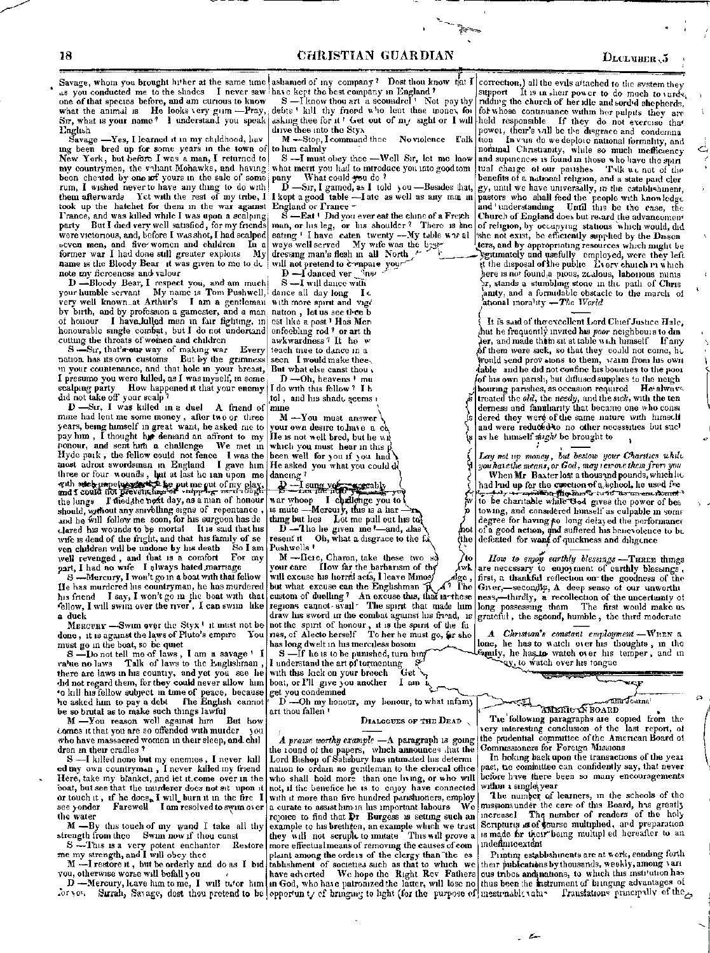as you conducted me to the shades I never saw have kept the best company in England? one of that species before, and am curious to know what the animal is He looks very gum -Pray, Sir, what is your name? I understand you speak Luglish

Savage  $-Yes, I learned it in my chuldhood, hav$ ing been bred up for some years in the town of New York, but before I was a man, I returned to my countrymen, the valiant Mohawks, and having been cheated by one of yours in the sale of some rum, I wished never to have any thing to do with them afterwards Yet with the rest of my tribe,  $I^{\dagger}$ took up the hatchet for them in the war against France, and was killed while I was upon a scalping party But I died very well satisfied, for my friends were victorious, and, before I was shot, I had scalped seven men, and five women and children In a former war I had done still greater exploits **My** name is the Bloody Bear it was given to me to de note my fierceness and valour

D-Bloody Bear, I respect you, and am much S-I will dance with<br>your humble servant My name is Tom Pushwell, dance all day long I c<br>yery well known\_at Arthur's I am a gentleman with more spirit and vigo by birth, and by profession a gamester, and a man nation, let us see thee b of honour I have killed men in fair fighting, in honourable single combat, but I do not undertand cutting the throats of women and children

-Sir, that's our way of making war s. Every nation has its own customs But by the grimness m your countenance, and that hole in your breast, I presume you were killed, as I was myself, in some<br>ecalping party How happened it that your enemy<br>did not take off your scalp?

D-Sir, I was killed in a duel A friend of mme had lent me some money, after two or three years, being himself in great want, he asked me to pay him, I thought he demand an affront to my honour, and sent him a challenge We met in Hyde park, the fellow could not fence I was the most adroit swordsman in England I gave him three or four wounds, but at last he ian upon me ance or our wounds, that as the ran upon me<br>
with such preventions of the put of my play,<br>
and I could not prevent that if the principle<br>
the lungs<br>
I died the next day, as a man of honour<br>
should, without any snivelling s clared his wounds to be mortal It is said that his wife is dead of the fright, and that his family of se ven children will be undone by his death So I am<br>well revenged, and that is a comfort For my So I am part, I had no wife I always hated marriage

S -Mercury, I won't go in a boat with that fellow He has murdered his countryman, he has murdered his friend I say, I won't go m the boat with that fellow, I will swim over the river, I can swim like a duck

MERCURY -Swim over the Styx<sup>1</sup> it must not be done, it is against the laws of Pluto's empire You must go in the boat, so be quiet

-Do not tell me of laws, I am a savage  $!$  I value no laws Talk of laws to the Englishman, there are laws in his country, and yet you see he did not regard them, for they could never allow him to kill his fellow subject in time of peace, because<br>he asked him to pay a debt The English cannot be so brutal as to make such things lawful

But how M-You reason well against him Comes it that you are so offended with murder who have massacred women in their sleep, and chil dren in their cradles?

S-I killed none but my enemies, I never kill ed my own countryman, I never killed my friend Here, take my blanket, and let it come over in the boat, but see that the murderer does not sit upon it or touch it, if he does. I will burn it in the fire I<br>see yonder Farewell I am resolved to swim over the water

M -By this touch of my wand I take all thy strength from thee Swim now if thou canst

S -- This is a very potent enchanter<br>me my strength, and I will obey thee Restore

vou, otherwise worse will befall you

for you. Surah, Savage, dost thou protend to be opportunity of bringing to light (for the purpose of mestimable value

Savage, whom you brought hither at the same time ashamed of my company? Dost thou know that I correction,) all the evils attached to the system they  $S = \hat{I}$  know thou art a scoundrel<sup>1</sup> Not pay thy

debts ' kill thy friend who lent thee money for

M -- Stop, I command thee No violence Falk to him calmly

S-I must obey thee -Well Sır, let me lnow what merit you had to introduce you into good tom pany What could you do ?

 $\mathbf{D}$  – -Sır, I gamed, as I told you -- Besides that, I kept a good table -- I ate as well as any man in<br>England or Tranee -

 $\widetilde{S}$  -Eat  $\vdash$  Did you ever eat the chine of a Freich man, or his leg, or his shoulder  $?$  There is ane eating ' I have caten twenty -- My table war al ways well served My wife was the byse

dressing man's flesh in all North " will not pretend to compare your

ிடி  $\mathbf{D}$  --I danced ver

est like a post<sup>1</sup> Has Meri enfeebling rod ? or art th awkwardness<sup>?</sup> It he w teach thee to dance in a seen I would make thee. But what else canst thou,

 $D$  --Oh, heavens<sup>1</sup> mu I do with this fellow? I h tol, and his shade seems i mine

 $M -$ You must answer your own desire to have a co He is not well bred, but he wil which you must hear in this pose well for you if you had He asked you what you could do daneing<sup>?</sup>

 $\frac{D}{D}$  - I sung vater weeably war whoop I challenge you to

thing but hes Let me pull out his to  $\overline{D}$  --The he given me  $'$ --and, also Pushwells<sup>1</sup>

M --- Ilere, Charon, take these two so ∕to your care Ilow far the barbarism of the<br>will excuse his horrid acts, I leave Minos նաև  $\sigma c$  . but what excuse can the Englishman The custom of duelling? An excuse this, that in these<br>regions cannot avail. The spirit that made him draw his sword in the combat against liis friend, is not the spirit of honour, it is the spirit of the fu ries, of Alecto herself To her he must go, for she has long dwelt in his merciless bosom

S -If he is to be pursuanting S<br>I understand the art of tormenting S  $S =$  if he is to be punished, turn bim with this kick on your breech boat, or I'll give you another I am is get you condemned

D-Oh my honour, my honour, to what infamy art thou fallen '

DIALCOULS OF THE DEAD

A praise worthy example  $-\Lambda$  paragraph is going the round of the papers, which announces that the Lord Bishop of Salisbury has intimated lis determi nation to ordain no gentleman to the clerical office who shall hold more than one living, or who will not, if the benefice he is to enjoy have connected with it more than five hundred parishioners, employ .<br>We a curate to assist him in his important labours

rejoice to find that Dr Burgess is setting such an example to his brethten, an example which we trust they will not scrupt to imitate This will prove a more effectual means of removing the causes of com plaint among the orders of the clergy than the es M --I restore it, but be orderly and do as I bid tablishment of societies such as that to which we have adverted We hope the Right Rev Fathers ous tribes and nations, to which this institution has D -Mercury, leave him to me, I will tator him in God, who have patronized the latter, will lose no thus been the instrument of bunging advantages of

It is in their power to do much to vards, Sunport ridding the church of her idle and sorded shepherds, for whose continuance within her pulpits they are asking thee for it<sup>t</sup> Get out of my sight or I will held responsible If they do not exercise that<br>duve thee into the Styx In vun do we deploid national formality, and tton nominal Christianity, while so much inefficiency and supineness is found in those who have the spiri Talk we not of the tual charge of our parishes benefits of a national religion, and a state paid cler gy, until we have universally, in the establishment, pastors who shall feed the people with knowledge and 'understanding Until this be the case, the and 'understanding Until this be the case, the<br>Church of England does but recard the advancement of religion, by occupying stations which would, did she not exist, be efficiently supplied by the Dissen ters, and by appropriating resources which might be between the specifical systems of the disposal of the public. Every church in which

here is not found a pious, zealous, labonous minis er, stands a stumbling stone in the path of Chris anity, and a formulable obstacle to the march of ational morality - The World

It is said of the excellent Lord Chief Justice Hale, the state of the content from other washed rane,<br>that he frequently invited his poor neighbours to din<br>der, and made them sit at table with himself If any of them were sick, so that they could not come, he would send prov sions to them, warm from his own table and he did not confine his bounties to the pool of his own parish, but diffused supplies to the neigh bouring parishes, as occasion required He always<br>treated the old, the needy, and the sick, with the ten He always derness and familiarity that became one who consi dered they were of the same nature with himself and were reduced to no other necessities but such as he himself might be brought to

Lay not up money, but bestow your Charities while you have the means, or God, may verrove them from you When Mr Baxter lost a thous and pounds, which lic had laid up for the exection of a school, he used free that the contrast of the contrast of the characteristic dependence of best to be characteristic dependence of best of the characteristic state. towing, and considered himself as culpable in some degree for having so long delayed the performance of a good action, and suffered his benevolence to be<br>defeated for want of quickness and diligence hot. (the

How to enjoy earthly blessings -THRIE things are necessary to enjoyment of earthly blessings, first, a thankful reflection on the goodness of the Giver,-secondly, A deep sense of our unworthi ness, thirdly, a recollection of the uncertainty of<br>long possessing them The first would make us grateful, the second, humble, the third moderate

A Christian's constant employment -WHEN a lone, he has to watch over his thoughts, in the ay, to watch over his tongue

فاستحقت فالمتعاذ o <del>ana T</del>ourna) AMERIC AN BOARD

The following paragraphs are copied from the very interesting conclusion of the last report, of the prudential committee of the American Board of Commissioners for Foreign Missions

In boking back upon the transactions of the year past, the committee can confidently say, that never before have there been so many encouragements within a single year

The number of learners, in the schools of the missions under the care of this Board, has greatly increasel The number of readers of the holy<br>Scriptures as of course multiplied, and preparation is made for their being multipl ed hereafter to an indefiniteextent

Punting establishments are at work, sending forth their publications by thousands, weekly, among vari Franslations principally of the

 $\overline{\phantom{a}}$ 

18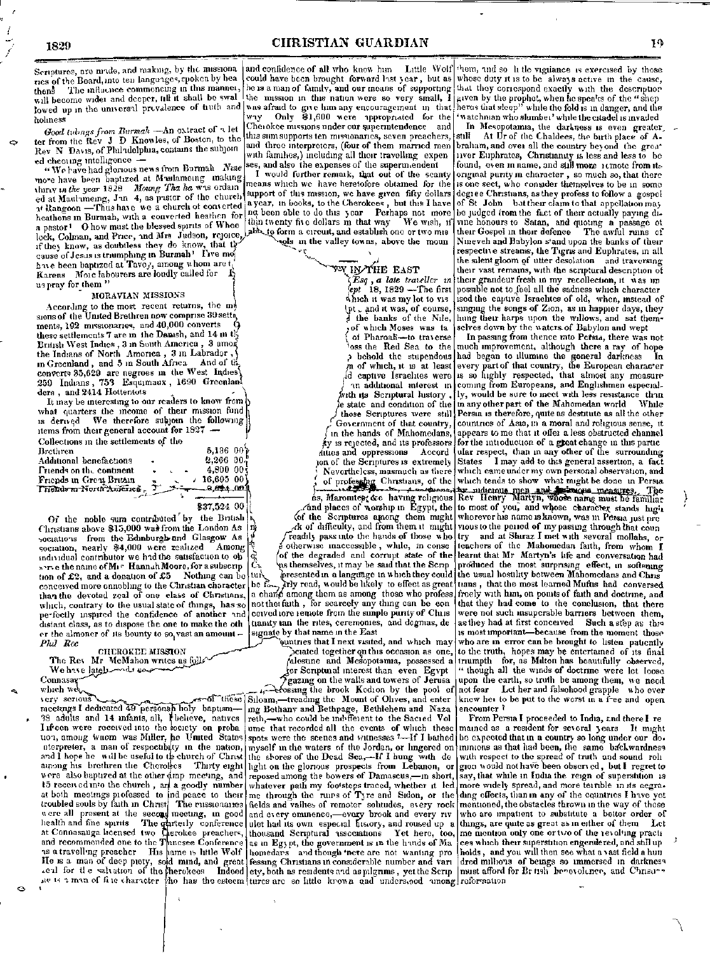Scriptures, are made, and making, by the missiona ries of the Board, into ten languages, epoken by hea The influence commencing in this manner, thens will become widet and deeper, till it shall be swal lowed up in the universal prevalence of tiuth and roliness

Good tulings from Burmak -An extract of a let ter from the Rev J D Knowles, of Boston, to the Rev N Davis, of Philadelphia, contains the subjoin ed cheering intelligence -

"We have had glorious news from Burmah Nme more have been baptized at Muslameing making thirty in the year 1828 Moung Tha ha was ordern ed at Mauhmeing, Jun 4, as pustor of the church at Rangoon -Thus have we a church of converted heathens in Burmah, with a converted heathen for a pastor<sup>1</sup> O how must the blessed spirits of Whee lock, Colman, and Price, and Mrs Judson, rejoice, abbe to form a circuit, and establish one or two mis if they know, as doubtless they do know, that the cause of Jesus is triumphing in Burmah' Five mo, have been baptized at Tavoy, among whom are  $t_1$ Karens More labourers are loudly called for us pray for them." T,

MORAVIAN MISSIONS

According to the most recent returns, the my<br>sions of the United Brethren now comprise 39 setting ments, 192 missionaries, and 40,000 converts these settlements 7 are in the Danish, and 14 in the Bruish West Indies, 3 in South America, 3 among<br>the Indians of North America, 3 in Labrador, in Greenland, and 5 in South Africa And of the<br>converts 35,629 are negroes in the West Indies 259 Indians, 753 Esquimaux, 1690 Greenland

It may be interesting to our readers to know from b It may be interesting to our reasons to their mission fund<br>what quarters the income of their mission fund<br>is derived. We therefore subject the following items from their general account for 1827

| Conections in the semements of the  |   |  |                              |  |
|-------------------------------------|---|--|------------------------------|--|
| Brethren                            |   |  | 5,136,00                     |  |
| Additional benefactions             | ٠ |  | $0.266~00^{17}$              |  |
| $\Gamma$ rtends on the continent    |   |  | $4,800,00\zeta$              |  |
| Friends in Great Britain            |   |  | (16,695,00)                  |  |
| Triends m North America , <i>T'</i> |   |  | - 8.45 <del>1.1</del> 000 ปี |  |
|                                     |   |  |                              |  |

\$37,524 00

Of the noble sum contributed by the British Christians above \$15,000 was from the London As sociations from the Edinburgh and Glasgow As Among sociation, nearly \$4,000 were realized individual contributor we had the satisfaction to ob Sorve the name of Mig Hannah Moore, for a subscription of £2, and a donation of £5 Nothing can be l tur be for conceived more ennobling to the Christian character<br>than the devoted zeal of one class of Christians, which, contrary to the usual state of things, has so<br>perfectly inspired the confidence of another and distant class, as to dispose the one to make the other the almoner of its bounty to  $50<sub>1</sub>$  vast an amount -Phil Rec

CHEROKEE MISSION The Rev Mr McMahon writes as follo We have lately and row

Connasag which we<sub>l</sub>

 $\circ$ 

very serious meetings I dedicated 49 personsh holy baptism-38 adults and 14 mfants, all, Helieve, natives Infrcen were received into the society on proba uon, among waom was Miller, he United States nterpreter, a man of respectibility in the nation,<br>and I hope he will be useful to the church of Christ<br>among his brethren the Cherolecs Thirty eight were also haptized at the other dmp meeting, and 15 received into the church, and a goodly number<br>at both meetings professed to ind peace to them troubled souls by faith in Christ The russionaries were all present at the second meeting, in good and every eminence,—every brook and every rives were all present at the second meeting, in good and every eminence,—every brook and every rives health and fine spirits The ch is a travelling preachcr His hame is little Wolf He is a man of deep piety, sold mind, and great Level for the salvation of the therokees Indeed ety, both as residents and as pilgrims, yet the Scrip must afford

and confidence of all who know hun could have been brought forward last year, but as whose duty it is to be always active in the cause, he is a man of family, and our means of supporting the mission in this nation were so very small, I was afraid to give him any encouragement in that

wny Only \$1,600 were appropriated for the Cherokee missions under our superintendence and this sum supports ten missionaries, seven preachers, and three interpreters, (four of them married men with families,) including all their travelling expen ses, and also the expenses of the supermendent

I would further remark, that out of the seanty means which we have heretofore obtained for the support of this mission, we have given fifty dollars ear, in books, to the Cherokees, but this I have a year, in books, to the chemically, the alleged in the definition of the deliars in that way ols in the valley towns, above the moun

**THE EAST**  $\widetilde{E}$ sq, a late traveller in<br>[ept 18, 1829 — The first Ahich it was my lot to vis pt, and it was, of course,<br>
d the banks of the Nile, of which Moses was ta of Pharoah-to traverse oss the Red Sea to the d captive Israelites were an additional interest in with its Scriptural history, Government of that country, in the hands of Mahomedans,  $\overline{\textbf{f}}\textbf{y}$  is rejected, and its professors dities and oppressions Accord ion of the Scriptures is extremely Nevertheless, masmuch as there of professing Christians, of the os, Maromteg &c having religious (of the Scriptures among them might the of difficulty, and from them it might (readily pass into the hands of those who try  $\overline{\phantom{a}}$ otherwise inaccessible, while, in conse ns themselves, it may be said that the Scrip  $\hat{\bm{\mathsf{p}}}\text{resented in a language in which they could}$ trly read, would be likely to effect as great a change among them as among those who profess not the faith, for scarcely any thing can be con ceived tore remote from the simple purity of Chuis tianity tan the rites, ceremonies, and dogmas, de signate by that name in the East quatries that I next visited, and which may

etated together on this occasion as one, alestine and Mesopotamia, possessed a for Scriptural interest than even Egypt Sgazing on the walls and towers of Jerusa<br>rossing the brook Kedion by the pool of

of these Siloam,-treading the Mount of Olives, and enter ing Bethany and Bethpage, Bethlehem and Naza -who could be ind flerent to the Sacred Vol reth.– ume that recorded all the events of which these spots were the scenes and witnesses 7--- If I bathed myself in the waters of the Jordan, or lingered on he shores of the Dead Sea,-If I hung with de light on the glorious prospects from Lebanon, or reposed among the bowers of Damascus,-in short, whatever path my footsteps traced, whether it led me through the runs of Tyre and Sidon, or the fields and vallies of remoter solitudes, every rock homedars and though tnete are not wanting pro fessing Christians in considerable number and vari-

Little Wolf rhem, and so In the vigilance is exercised by those that they correspond exactly with the description given by the prophet, when he speaks of the "shep<br>heres that sleep" while the fold is in danger, and the<br>"watchman who slumber" while the citadel is invaded In Mesopotamia, the darkness is even greater, stıli At Ur of the Chaldees, the birth place of Abraham, and over all the country beyond the great aiver Euphrates, Christianity is less and less to be found, even in name, and still more remote from its original purity in character, so much so, that there is one sect, who consider themselves to be in some degree Christians, as they profess to follow a gospel of St John but their claim to that appellation may be judged from the fact of their actually paying divine honours to Satan, and quoting a passage of their Gospel in their defence The awful ruins of Nineveh and Babylon stand upon the banks of their respective streams, the Tigris and Euphrates, in all the silent gloom of utter desolation and traversing their vast remains, with the scriptural description of their grandeur fresh in my recollection, it was im possible not to feel all the sadness which character ised the captive Israelites of old, when, instead of singing the songs of Zion, as in happier days, they hung their harps upon the willows, and sat themselves down by the waters of Babylon and wept

In passing from thence into Persia, there was not nuch improvement, although there a ray of hope behold the stupendous had began to illumine the general darkness In m of which, it is at least every part of that country, the European character id captive Israelites were is so highly respected, that almost any measure coming from Europeans, and Englishmen especially, would be sure to meet with less resistance than e state and condition of the in any other part of the Mahomedan world While those Scriptures were still Persia is therefore, quite as destitute as all the other countries of Asia, in a moral and religious sense, it appears to me that it offer a less obstructed channel for the introduction of a great change in this partic ular respect, than in any other of the surrounding States I may add to this general assertion, a fact which came under my own personal observation, and which tends to show what might be done in Persia. Av undergroup men and the measures. The Rev Henry Martyn, whose name must be familiar to most of you, and whose character stands high wherever his name is known, was in Persia just pre vious to the period of my passing through that coun and at Shiraz I met with several mollahs, or teachers of the Mahomedan faith, from whom I of the degraded and corrupt state of the learnt that Mr Martyn's life and conversation had produced the most surprising effect, in softening the usual hostility between Mahomedans and Chris tians, that the most learned Muftis had conversed freely with him, on points of faith and doctrine, and that they had come to the conclusion, that there were not such insuperable barriers between them, as they had at first conceived Such a step as this is most important-because from the moment those who are in error can be brought to listen patiently to the truth, hopes may be entertamed of its final triumpth for, as Milton has beautifully observed, "though all the winds of doctrine were let loose upon the cartli, so truth be among them, we need Let her and falschood grapple who ever not fear knew het to be put to the worst in a free and open. encounter <sup>?</sup>

> From Persia I proceeded to India, and there I re named as a resident for several years It might be expected that in a country so long under our do. minions as that had been, the same backwardness with respect to the spread of truth and sound reli gion would not have been observed, but I regret to say, that while in India the reign of superstition is more widely spread, and more teimble in its cegrading effects, than in any of the countries I have yet mentioned, the obstacles thrown in the way of those who are impatient to substitute a better order of things, are quite as great as in either of them Let me mention only one or two of the revolting practs ces which their superstition engendered, and still up holds, and you will then see what a vast field a hun dred milhous of beings so immersed in darkness must afford for British benevolence, and Christian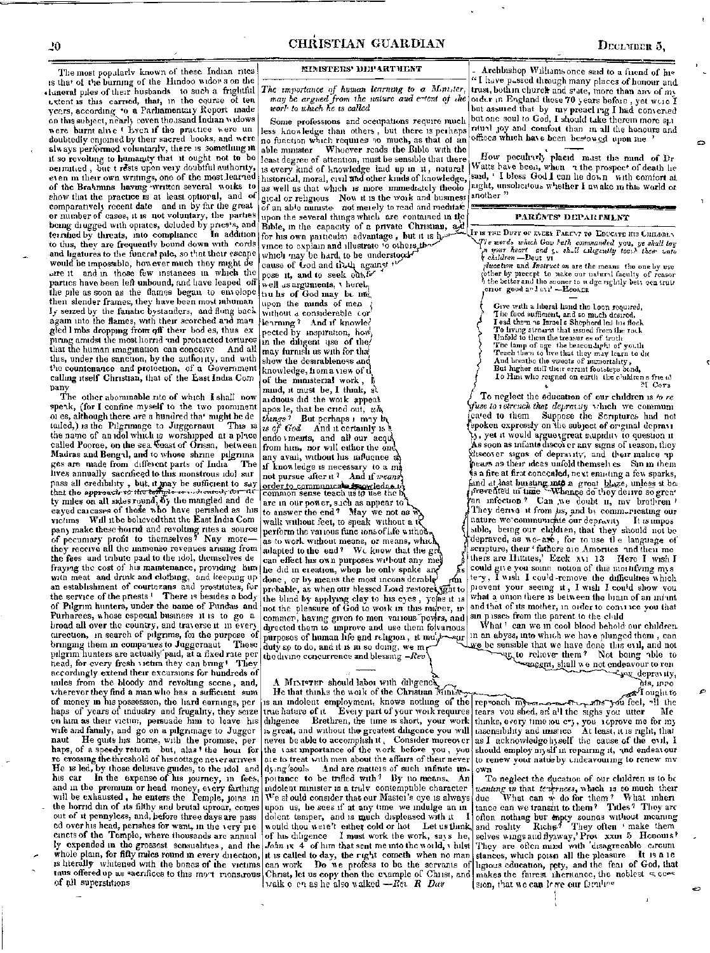CHRISTIAN GUARDIAN

DECLYDER 5.

Ò

The most popularly known of these Indian rites is that of the burning of the Hindoo widows on the duneral piles of their husbands to such a frightful extent is this carried, that, in the equrae of ten years, according to a Parliamentary Report made on this subject, nearly ceven thousand Indian widows were burnt alive ' Even if the practice were un doubtedly enjoined by their sacred books, and were always performed voluntarily, there is something in it so revolting to humanity that it ought not to be bermitted, but trests upon very doubtful authority, of the Brahmins having written several works to show that the practice is at least optional, and of comparatively recent date and in by far the great er number of cases, it is not voluntary, the parties being diugged with optates, deluded by priests, and<br>termined by threats. into compliance In addition terrified by threats, into compliance to this, they are frequently bound down with cords and ligatures to the funeral pile, so that their escape would be impossible, however much they might de sire it and in those few instances in which the partics have been left unbound, and have leaped off the pile as soon as the flames began to envelope then slender frames, they have been most inhuman ly serzed by the fananc bystanders, and flung back again into the flames, with their scorched and man gled I mbs dropping from off their bod es, thus ex piring amidst the most horrid and protracted tortures that the human imagination can conceive And all this, under the sanction, by the authority, and with the countenance and protection, of a Government calling itself Christian, that of the East India Com pany

The other abominable rite of which I shall now speak, (for I confine myself to the two prominent of es, although there are a hundred that might be de tailed,) is the Pilgrimage to Juggernaut This is the name of an idol which is worshipped at a place called Poorce, on the sea Coast of Orissa, between Madras and Bengal, and to whose shrine pilgrima ges are made from different parts of India The lives annually sacrificed to this monstrous idol sur pass all credibility, but it may industriate it and the substant to say<br>that the approach to the temple and contract to say<br>that the approach to the temple are university for at<br>ty miles on all sides round, by the mangled pany make these hornd and revolting rites a source<br>of pecuniary profit to themselves? Nay morethey receive all the immense revenues ansing from the fees and tribute paid to the idol, themselves de fraying the cost of his maintenance, providing him with meat and drink and clothing, and keeping up an establishment of courtezans and prostitutes, for<br>the service of the priests 'There is besides a body of Pilgrim hunters, under the name of Pundas and Purharees, whose especial business it is to go a broad all over the country, and traverse it in every arrection, in search of pilgrims, for the purpose of bringing them in comparies to Juggernaut These pilgrim hunters are actually paid, at a fixed rate per head, for every fresh vietim they can bring ' They accordingly extend their excursions for hundreds of miles from the bloody and revolting scene, and, wherever they find a man who has a sufficient sum of money in his possession, the hard earnings, per haps of years of industry and frugality, they seize on him as their victim, persuade him to leave his wife and family, and go on a pilgrimage to Jugger<br>naut He quits his home, with the promise, per haps, of a speedy return but, alas' the hom for re crossing the threshold of his cottage never arrives He is led, by those delusive guides, to the idol and<br>his car In the expense of his journey, in fees, and in the premium or head money, every farthing<br>will be exhausted, he enters the Temple, joins in the horrid din of its filthy and brutal uproar, comes out of it pennyless, and, before three days are pass ed over his head, perishes for want, in the very pie cincts of the Temple, where thousands are annual ly expended in the grossest sensualities, and the whole plain, for fifty miles round in every direction, is hterally whitened with the bones of the victims taus offered up as sacrifices to this most monsurous of all superstitions

# **MINISTERS' DEPARTMENT**

The importance of human learning to a M.nister, may be argued from the nature and entent of the work to uhich he is called

Some professions and occupations require much less knowledge than others, but there is perhaps no function which requires 90 much, as that of an Whoever reads the Bible with the able minister least degree of attention, must be sensible that there is every kind of knowledge laid up in it, natural historical, moral, civil and other kinds of knowledge, as well as that which is more immediately theolo gical or religious Now it is the work and business<br>of an able numste not merely to read and meditate upon the several things which are contained in the Bible, in the capacity of a private Christian, add for his own particular advantage, but it is h vince to explain and illustrate to others the which may be hard, to be understood cause of God and title against the pose it, and to seek out is well as arguments, v herel, tiu hs of God may be med thu us of coording to the theory without a considerable correction of  $\frac{1}{2}$ pected by inspiration, how,<br>in the diligent use of the may furnish us with for that shew the desirableness and knowledge, from a view of ti of the ministerial work. mind, it must be, I think, st arduous did the work appeal apos le, that he cried out, uh,  $things$ <sup>?</sup> But perhaps a may be  $\overrightarrow{1}$  of  $\overrightarrow{6}$  and it certainly is endo ments, and all our acqu from him, nor will either the one any avail, without his influence as if knowledge is necessary to a ma not pursue after it? And if wears?<br>order to communicate transfer in common sense teach us to use the b are in our power, sich as appear to to answer the end? May we not as walk without feet, to speak without a to perform the various functions of life withou as to work without means, or means, which adapted to the end? We know that the gi can effect his own purposes without any me he did in creation, when he only spake and done, or by means the most inconsiderable) of the probable, as when our blessed Lord restores with to the blind by applying clay to his eyes, yess it is common, having given to men various powrs, and directed them to improve and use them folvarious purposes of human life and religion, it mu<sub>y</sub> μŗ duty so to do, and it is in so doing, we m the divine concurrence and blessing -Rev

A MINISTER should labor with diligence

He that thinks the work of the Christian Minist s an indolent employment, knows nothing of the reproach my rue hature of <sub>t</sub>t Every part of your work requires Brethren, the time is short, your work dılıgence is great, and without the greatest diligence you will never be able to accomplish it . Consider moreover the vast importance of the work before you, you are to treat with men about the affairs of their never And are matters of such infinite imdv.ng/soulsportance to be trifled with  $\ell$  By no means. An indolent minister is a tridy contemptible character We st ould consider that our Mastei's eye is always upon us, he sees if at any time we indulge an in dolent temper, and is much displeased with it would thou were't either cold or hot John ix  $4^{\circ}$  of him that sent me into the world, v hilst They are often mind with 'disagreeable circum it is called to day, the right cometh when no man ean work Do we profess to be the servants of lignous education, pety, and the fear of God, that<br>Christ, let us copy then the example of Christ, and makes the fairest interitance, the noblest  $\approx$  coss vaik e en as he also walked - Ret  $R$  Day

Archbishop Williams once said to a fitend of his "I have passed through many places of honour and trust, both in church and state, more than any of my order in England these 70 years before, yet were I<br>but assured that by my preacling I had converted<br>but one soul to God, I should take therein more spi<br>runt joy and comfort than in all the honours and offices which have been bestowed upon me

How pecuharly placid must the mind of Dr Watts bave been, when r the prospect of death he said, ' I bless God I can he down with comfort at might, unsolicitous whether I awake in this world or another"

# PARÉNTS' DEPARTMENT

IT IS THE DUTY OF EVERY PARENT TO EDUCATE HIS CHELDREN Is The source of livest that it is solved to someone of the contracted you, ye shall lay a year's next can get shall commanded you, ye shall lay of olidren -- Deut vi<br>shall contract on are the means the one by use plucati

present and more to hake our natural faculty of reason<br>other by precept to hake our natural faculty of reason<br>in the better and the sconer to udge rightly bett central enor good and evi' -- HookEs

Give with a liberal hand the Loon reourced.

The food sufficient, and so mich desired,<br>The food sufficient, and so mich desired,<br>I ead them as Israel's Shepherd led his flock

For twin's interest subplier that is a more.<br>To living streams that issued from the rock<br>Unfold to them the treasure as of truth<br>The lamp of age the beacon dipht of youth<br>Teach them to live that they may learn to did

Teach them to live that they may rearn come.<br>And breathe the sweets of minortality,<br>But higher still their errant footsteps bond,<br>Lo Hini who reigned on earth the cluditions frie id

To neglect the education of our children is to re fuse to retrench that depractly which we communi cated to them Suppose the Scriptures had not spoken expressly on the subject of original depravity, yet it would argue great supidity to question it<br>As soon as infants discover any signs of reason, they discover signs of depravity, and their malice ap pears as their ideas unfold themselves Sm in them is a fire at first concealed, next emating a few sparks, and at last bursting into a great blaze, unless at bo-<br>prevented in time. Whence do they derive so great prevented in time Whence do they denve so great<br>Van infection? Can we doubt it, my brethren? They derive it from us, and by communicating our nature we communicate our depravity It is inpossible, being our cludion, that they should not be depraved, as we-are, for to use the language of scripture, their 'factors are Amorites and then mothers are Hittites,' Ezek xvi 13 Here I wish I could give you some notion of this mothfying mys tery, I wish I could remove the difficulties which pievent your seeing it, I wish I could show you what a union there is between the biain of an infunt. and that of its mother, in order to convince you that sin p isses from the parent to the cluid<br>What! can we in cool blood behold our children

in an abyss, into which we have plunged them , can re be sensible that we have done this evil, and not

g<sub>1</sub>to relieve them? Not being able to exacent, shall we not endeavour to ren-Lyvy\_depravity, dis. mro

ra∕I ought to

Arvenths you feel, all the tears vou shed, an all the sighs you utter Me thinks, every time jou cry, you acprove me for my<br>tasensibility and inistice At least, it is right, that as I acknowledge hyself the cause of the evil, I should employ mysif in repairing it, and endeavour to renew your natue by endeavouring to renew mv own

To neglect the ducation of our children is to be wanting in that tenterness, which is so much their<br>due What can we do for them? What inheri due tance can we transfit to them? Titles? They are often nothing but mpty sounds without meaning<br>and reality Richs? They often 'make them Let us think, and reality  $\frac{1}{2}$  of his chief one mast work the work, says he, says and flyway,' Prot xxm 5 Honouis? stances, which poisn all the pleasure It is a le sion, that we can leve our formlies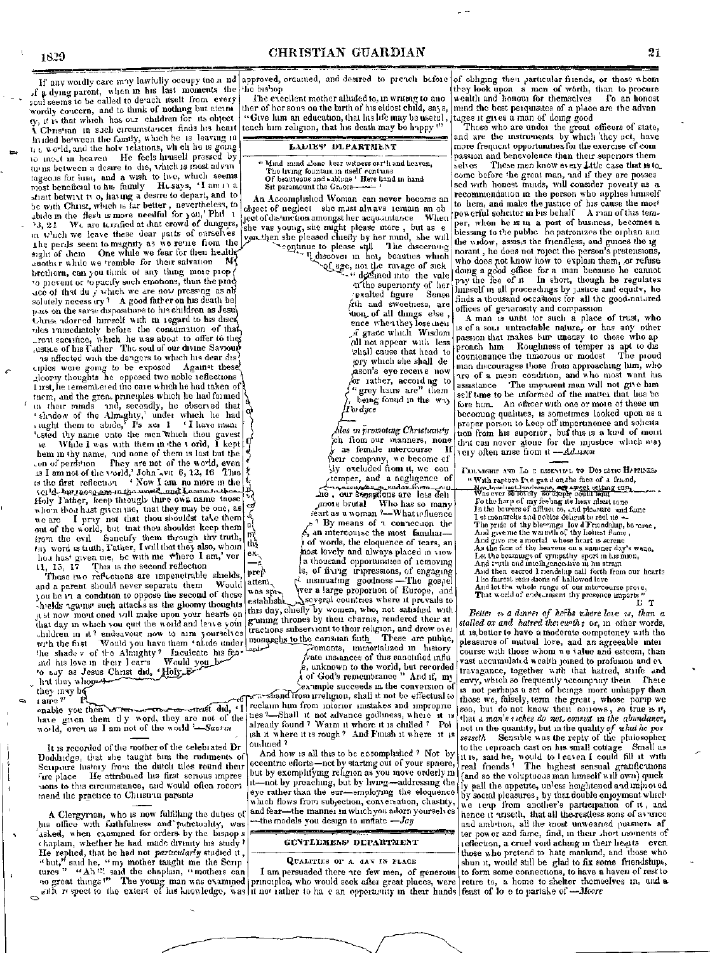of a dying parent, when in his last moments the soul seems to be called to detach itself from every wordly concern, and to think of nothing but eterni ty, it is that which has our children for its object A Christian in such circumstances finds his heart huded between the family, which he is leaving in ti e world, and the holy relations, wh ch he is going to meet in heaven He feels himselt pressed by tu ns between a desire to die, which is most advant tageous for him, and a wish to live, which seems mest beneficial to his family HL-says, 'I am 11 a strait betwint it o, having a desire to depart, and to Strate occurrence of assume a cessive to depart, and to<br>be with Christ, which is far better, nevertheless, to<br>abide m the flesh is more needful for you,' Phil 1<br> $3, 21$ . We are terrified at that crowd of dangers, in which we leave these dear paits of ourselves The perils seem to magnity as we return from the another while we tremble for their salvation brethern, can you think of any thing more prop to prevent or to pacify such emotions, than the pracy acc of that du  $\vec{y}$  which we are now pressing as all solutely necess  $\iota \iota y^T$ . A good father on his death be pass on the same dispositions to his children as Jesus Christ adorned himself with in regard to his discr bles runnediately before the consumation of that rest sacrifice, which he was about to offer to the as affected with the dangers to which his dear disciples were going to be exposed Against these I irst, he remembered the care which he had taken of them, and the great principles which he had formed in their minds and, secondly, he observed that shadow of the Almighty,' under which he had ested thy name unto the men which thou gavest<br>the While I was with them in the vorld, I kept hem in thy name, and none of them is lost but the con of perdition. They are not of the world, even<br>is I am not of the vorld, 'John  $\sim$ ut 6, 12, 16. This<br>is the first reflection. 'Now I am no noise in the<br> $\sim$ uld-hartaceng. Even through there with name those<br>Holy Patter whom thou hast given me, that they may be one, as when area last given me, that they may be one, as we are I pray not that thou shouldst take them<br>out of the world, but that thou shouldst keep them<br>irom the evil Sanctify them through thy truth, trown the evil sainting them allongs in each that they also, whom<br>hot hast given me, be with me where I am,' ver<br>11, 15, 17 This is the second reflection<br>Those two reflections are impenetrable shields, ths ex.

prep atten). and a parent should never separate them Would was spin you be in a condition to oppose the second of these establish hields against such attachs as the gloomy thoughts ast now ment oned will make upon your hearts on that day in which you quit the world and levie your grunng thrones by their charms, rendered their at children in it? endeavour now to aim yourselves the shado v of the Almighty? Inculcate his fear and his love in their lear's Would you be to say as Jesus Christ did, 'Holy, E hat they whope to

they may be<br>tame? P

enable you then or savhave given them dy word, they are not of the world, even as I am not of the world '-Sawim

It is recorded of the mother of the celebrated Dr Doddinge, that she taught him the rudiments of Scripture history from the dutch tiles round their fire place He attributed his first serious impres sions to this circumstance, and would often record mend the practice to Chustrui parents

A Clergyrian, who is now fulfilling the duties of instantine with fulfillness and punctuality, was asked, when examined for orders by the bisnop s chaplain, whether he had made divinity his study? The replied, that he had not particularly study of the Script CENTLEMENS' DEPARTMENT<br>
"but," said he, " my mother taught me the Script" and the Script of A dAN IN PLACE<br>
"but," said he, " my mother taught me the Script" a

If any wordly care may lawfully occupy then nd approved, ordained, and desired to preach before of obliging then particular friends, or those whom he bishop

The excellent mother alluded to, in writing to ano ther of her sons on the birth of his eldest child, says, "Give lum an education, that his life may be useful teach him religion, that his death may be happy?

# **LADIES' DLPARTMENT**

" Mind mind alone bear witness ear'll and heaven,

The living fountain in itself contains<br>Of beauteous and sablime ' Here hand in hand

Sit paramount the Gruces-

An Accomplished Woman can never become an object of neglect she must always temain an objeet of distinction amongst her acquaintance When she vas young, she might please more, but as e ven then she pleased chiefly by her mind, she will The discerning

regime to please still The discerning<br>The discover in her, beauties which<br>effage, not the ravage of sick<br>of discharge of sick

of the supernorty of her<br>
for the supernorty of her<br>
for the and sweetness, are uon of all things else, ence when they lose men of grace which Wisdom all not appear with less shall cause that head to fory which she shall de ason's eye recente new for rather, according to being found in the way  $\boldsymbol{\mathit{I}}$  or dyce

hles in promoting Christianity ch from our manners, none as female intercourse - Ff their company, we become ef temper, and a negligence of die , our sessations are less deli mote brutal Who has so many<br>reart as a woman ?- What influence <sup>2</sup> By means of a connection the  $\epsilon$ , an intercourse the most familiarof words, the eloquence of tears, an host lovely and always placed in view a thousand opportunities of removing is, of fixing impressions, of engaging the insinuating goodness - The gospel<br>per a large proportion of Europe, and several countries where it prevails to this day, chiefly by women, who, not satisfied with tractions subservient to their religion, and drew over

Fements, munorialized in history wate insiances of this sanctified influ e, unknown to the world, but recorded<br>a of God's remembrance " And if, my example succeeds in the conversion of

of a spand from preligion, shall it not be effectual to The change of the state of the state of the change of the change of the change of the change of the change of the change of the change of the change of the change of the change of the change of the change of the change of ties ?- Shall it not advance godliness, where it is already found ? Warm it where it is chilled ? Pol (sh it where it is rough? And Finish it where it as oudmed ?

And how is all this to be accomplished ? Not by eccentric efforts—not by starting out of your spacre, but by exemplifying religion as you move orderly in it—not by preaching, but by living—addressing the<br>eye rather than the ear—employing the eloquence which flows from subjection, conversation, chastity,<br>and fear--the manner in which you adorn yourselves --the models you design to unitate  $-Jay$ 

# GENTLEMENS' DEPARTMENT

they look upon s men of worth, than to procure wealth and honour for themselves To an honest mind the best perquisites of a place are the advantages it gives a man of doing good

Those who are under the great officers of state, and are the instruments by which they act, have more frequent opportunities for the exercise of compassion and benevolence than their superiors them These men know every Litle case that is to. selves : come before the great man, and if they are posses sed with honest minds, will consider poveity as a recommondation in the person who applies himself to hem, and make the justice of his cause the most powerful scheiter in his behalf A rian of this tember, when he is in a post of business, becomes a blessing to the public he patronizes the orphan and the widow, assists the friendless, and guides the ig norant, he does not reject the person's pretensions, who does not know how to explain them, or refuse doing a good office for a man because he cannot<br>pry the fee of it In short, though he regulates lumself in all proceedings by justice and equity, he finds a thousand occasions for all the good-natured offices of generosity and compassion

A man is unat tor such a place of trust, who s of a sour untractable nature, or has any other passion that makes him uneasy to those who ap Roughness of temper is apt to dis proach him countenance the timorous or modest The pioud man discourages those from approaching lum, who are of a mean condition, and who most want his The impruent man will not give him assistance self time to be informed of the matter that hes be fore him. An officer with one or more of these un becoming qualities, is sometimes looked upon as a proper porson to keep off impertinence and solicita tion from his superior, but this is a kind of meit that can never atone for the mustice which may ery often anse from it - Ad.uson

FRIENDSHIP AND LO E ESSEMBAL TO DOS ESTIC HAPPINESS "With rapture I've gaz d on the face of a friend, With rapture The grad of the same rate of a triuma,<br>
Non-low-last conduct the same in the section of the section of<br>
Was ever so 167 or p could lend<br>
Fo the harp of my feeling its heav nitest tone<br>
In the bowers of afflue As the beam of the heavens on a summer ray's wede,<br>Let the beamings of sympathy sport in this minimal.<br>And truth and intelligence-live in its strain.<br>And then sacred I rendeling call forth from our hearts<br>I he farest sens And let the whole range of our intercourse prote,<br>That world of endeLrnient thy presence imparts."

ົດ ແ

Better is a dinret of herbs where love is, than a stalled ox and hatred therewith; or, in other words, it is, better to have a moderate competency with the pleasures of mutual love, and an agreeable inter course with those whom we value and esteem, than vast accumulated wealth joined to profusion and extravagance, together with that hatred, stufe and envy, which so frequently accompany them There is not perhaps a set of beings more unhappy than those we, falsely, term the great, whose pornp we see, but do not know then sonows, so true is it, that a man's riches do not, consist in the abundance, not in the quantity, but in the quality of what he pos sesseth Sensible was the reply of the philosopher to the reproach cast on his small cottage Small as it is, said he, would to leaven I could fill it with<br>real friends<sup>1</sup> The highest sensual gratifications (and so the voluptuous man lumself will own) quick ly pall the appetite, unless heightened and improved by social pleasures , by that double enjoyment which we rep from another's participation of it, and hence it vriseth, that all therestless sons of avurice<br>and ambition, all the most unwearied pulsities of ter power and fame, find, in their short inoments of reflection, a cruel void aching in their hearts even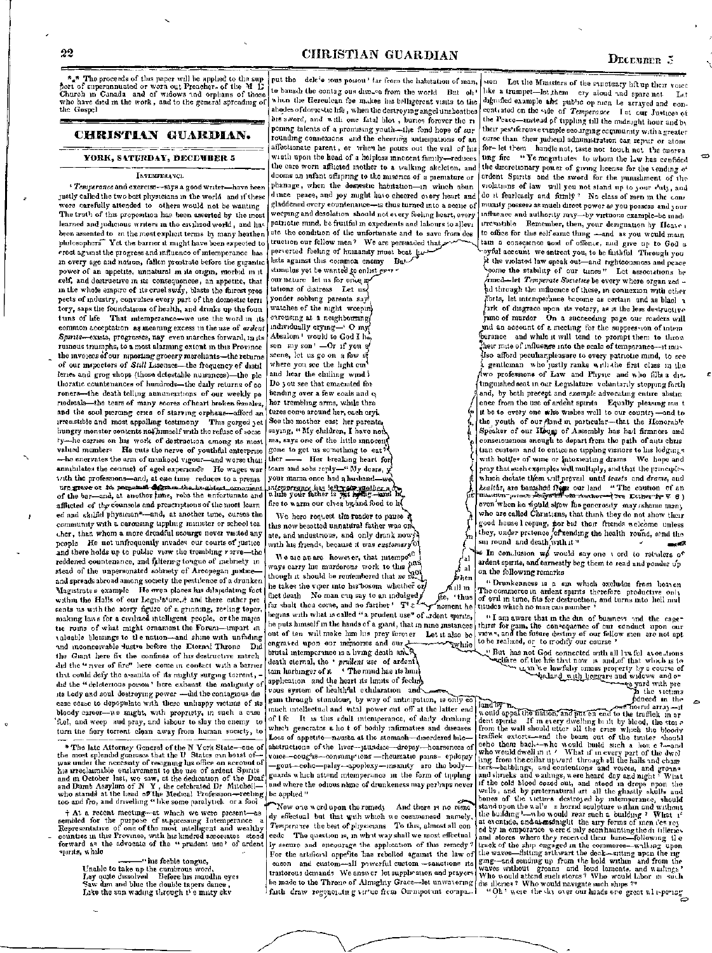# CHRISTIAN GUARDIAN

 $*_{\pi}$ \* The proceeds of this paper will be applied to the sup<br>port of superannuated or worn out Preachers of the M E<br>Church in Canada and of widows and orphans of those<br>who have ded in the work, and to the general spread the Gospel

# CHRISTIAN GUARDIAN.

# YORK, SATURDAY, DECEMBER 5

# **INTEMPERANCE**

*'Temperance* and exercise-says a good writer-have been justly called the two best physicians in the world and if these were carefully attended to others would not be wanting The truth of this proposition has been asserted by the most learned and judicious writers in the civilized world, and has been assented to in the most explicit terms by many heathen philosophers<sup>7</sup> Yet the barner it might have been expected to erect against the progress and influence of intemperance has in every age and nation, fallen prostrate before the gigantic power of an appetite, unnatural in its origin, morbid in it self, and destructive in its consequences, an appetite, that in the whole empire of its cruel sway, blasts the fairest pros pects of industry, convuises every part of the domestic terri tory, saps the foundations of health, and drinks up the foun tuns of life That intemperance-we use the word in its common acceptation as meaning excess in the use of ardent Sprits-exists, progresses, nay even marches forward, in its runous traumphs, to a most alarming extent in this Province the invoices of our mporting grocery merchants-the returns of our mapectors of Stall Lacenses-the frequency of distil leries and grog shops (those detestable nuisances)-the ple thoratic countenances of hundreds-the daily returns of co roners-the death telling annunciations of our weekly pe riodicals-the tears of many scores of heart broken females and the soul piercing cries of starving orphaus-afford an presistible and most appalling testimony This gorged yet hungry monster contents not humself with the refuse of socie ty-he carries on his work of destruction among its most valued members He cuts the nerve of youthful enterprise -he enervates the arm of manhood vigour-and werse than annihilates the counsel of aged experience He wages war with the professions-and, at eac time reduces to a premaure grave or to parament degrace the brightest comment and, at another time, robs the unfortunate and of the barafflicted of the counsels and prescriptions of the most learn ed and skilful physician\*-and, at another time, cursos the community with a carousing tippling minister or school teacher, than whom a more dreadful scourge never visited any people He not unfrequently invades our courts of justice and there holds up to public view the trembling rerve-the reddened countenance, and faltering tongue of inebriety in stead of the unpersonated sobriety of Areopegan justice and spreads abroad among somety the pestilence of a drunken<br>Magistrate s example He even places his dilapidating foot within the Halls of our Legislature./ and there either pre sents us with the sorry figure of a grinning, re-ling toper, making laws for a civilized intelligent people, or the majes tic ruins of what might ornament the Forum-impart in valuable blessings to the nation-and shine with unfading and inconceivable dustre before the Eternal Throne Did the Giant here fix the confines of his destructive march did the "river of fire" here come in contact with a barrier that could defy the assaults of its mighty surging torrent, did the "deleterious poison' here exhaust the malignity of its Lody and soul destroying power - did the contagious disease ecase to depopulate with these unhappy victims of its bloody career-us might, with propriety, in such a case 'feel, and weep aud pray, and labour to slay the enemy to turn the fiery torrent clean away from human society, to

The late Attorney General of the N York State—one of<br>the most splendid generals of the N York State—one of<br>the most splendid generas that the U States can boast of<br>was under the necessity of resigning lus office on account too and fro, and drivelling "like some paralytick or a fool

<sup>†</sup> At a recont meeting—at which we were present—as sembled for the purpose of suppressing Intemperance a Representative of one of the most intelligent and wealthy countes in this Province, with his kindred associates stoo spirits, while

" his feeble tongue, Unable to take up the cumbrous word,<br>Ley quite dissolved Before his maudin eyes Lay quite dissolved Before lins maudlin<br>Saw dim and blue the double tapers dance Lake the san wading through the misty skv

put the dele's lous poison' far from the habitation of man, to bamsh the contag ous disease from the world But oh! when the Herculcan foe makes his belligerent visits to the abodes of domestic life, when the destroying angel unsheathes his sword, and with one fatal hlot, buries forever the ripering talents of a promising youth-the fond hope of sur rounding connexions and the cheering anticipations of an affectionate parent, or when he pours out the vial of his wiath upon the head of a helpless innocent family-reduces the care worn afflicted mother to a walking skelcten, and dooms an infant offspring to the miseries of a piemature or phanage, when the domestic habitation-in which abun dince peace, and joy might have cheered every heart and gladdened every countenance-is thus turned into a scene of weeping and desolation should not every feeling heart, every patriotic mind, be fruitful in expedients and labours to allevi ate the condition of the unfortunate and to save from des truction our follow men? We are persuaded that, perverted foeling of humanity must beat hulists against this common enemy Butstimulus yet be wanted to enlist grove our nature let us for once my tations of distress Let us yonder sobbing parents say watches of the night weepin curousing at a neighbouring individually crying-' O my Absalom ' would to God I he son my son' -Or if you a

scen**e,** let us go on a few si where you see the light em<sup>4</sup> and hear the chilling wind ! Do you see that emacrated for bending over a few coals and  $e_i$ her trembling arms, while thre tures come around her, each oryi. See the mother cast her parenta, saying, "My children, I have not ma, says one of the little innocent - Her breaking heart for ther. tears and sobs reply-"My dears, y your mama once had a husband-we entemperance has left respected bern.<br>n luie your father is **we having -a**nd fire to warm our cives by and food to he

We here request the reader to pause this now besotted unnatural father was on ate, and industrious, and only drank now with his friends, because it was *customary*<sup>f(</sup>

We are aware however, that micmpe<sup>38</sup> ways carry his murderous work to this <sup>par</sup> though it should be remembered that no me. he takes the viper into his bosom whether or flict death No man can say to an indulged; far shalt thou come, and no farther '  $T^{\dagger}c^{\dagger}$ begins with what is called "a prudent use" of wident spirits, he puts himself in the hands of a giant, that in nine instances

out of ten will make him his prey forever Let it also be engraved upon our memories and our J brutal intemperance is a living death and R death eternal, the ' prudent use of ardent application and the heart its limits of feelin

vous system of health<sup>4</sup>ul exhilaration and gain through stimulous, by way of anticipation, is only so much intellectual and vital power cut off at the latter end of I fc It is this adult intemperance, of daily drinking which generates a hot of bodily infirmaties and diseases Loss of appetite-nausca at the stomach-disordered bileabstructions of the liver--haundice--dropsy--hoarseness of voice-coughs-consumptions -theumatic pains- epilepsy -gout-colic-palsy-apoplexy-meanity are the bodygaards which attend intemperance in the form of tipping and where the odicus name of drunkeness may perhaps never be applied "

Now one word upon the remedy And there is no reme dy effectual but that with which we commenced namely, Temperance the best of physicians To this, almost all con cede The question is, in what way shall we most effectual ly secure and encourage the application of this remedy? For the artificral appetite has rebelled against the law of eason and custom-all powerful custom -sanctions its traitorous demands We answer let supplication and prayers be made to the Throne of Almighty Grace-let unwavering I faith draw regenerating virtuo from Ommpot int compas-

sion Let the Ministers of the sanctuary bit up their voice like a trumpet-let them cry aloud and spare not dignified example and public op men be arrayed and concentrated on the side of Temperance I et our Justices of the Peace-instead of tippling till the midnight hour and by their pes'iferous example seourging community with a greater curse than their judicial administration can repur or atone for-let them handle not, taste not touch not the cnerva ung fire "Ye magistrates to whom the law has centided the discretionary power of giving license for the vending of ardent Spirits and the sword for the numshment of the violations of law will you not stand up to your duty, and do it fearlessly and firmly? No class of men in the conmunity possess as match direct power as you possess and your influence and authority may-by virtuous example-be made greenstible Remember, then, your designation by Heaven to office for this self same thing -and as you would main tain a conscience word of offence, and give up to God a

oyful account we entreat you, to be faithful Through you it the violated law speak out-and righteousness and peace come the stability of our times" Let associations be  $\AA$ med—let  $\emph{Temperature Societes}$  be every where organ zed  $$ ad through the influence of these, in connexion with other forts, let intemperance become as certain and as blacl a  $t$ irk of disgrace upon its votary, as is the less destructive func of murdor On a succeeding page our readers will ind an account of a meeting for the suppression of intem perance and while it will tend to prompt them to throw their mite of influence into the scale of temperance--it inusilso afford pecuhar;pleasure to every patriotic mind, to see gentleman who'justly ranks with the first class in the wo professions of Law and Physic and who fills a distinguished seat in our Legislature voluntarily stepping forth and, by both precept and example advocating entire abstin ence from the use of ardent spirits Equally pleasing mu t it be to every one who wishes well to our country-and to the youth of our fland in particular-that the Honorable Speaker of our Houge of Assembly has had firmness and conseiousness enough to depart from the path of anti chris tian custom and to entice no tippling visitors to life lodgings with bottles of wine or intoxicating drams We hope and pray that such examples will multiply, and that the principlewhich dictate them will prevail until toasts and drams, and healths, are banished flow our land "The caution of an healths, are banished flow our land "The caution of an even when he would show his generosity may ishame many who are called Christians, that think they do not show their good house I ceping, por bid their friends a cleome unless they, under pretence for sending the health round, send the sui round and death with it"  $\bullet$  In conclusion we would say one vord to ratulars of

ardent spirits, and earnestly beg them to read and ponder up on the following remarks

l<sub>al</sub>

∱al

мћеп

้เป๋ เธ

Twhile

noment he

te, <sup>'</sup>thus " Drunkenness is a sin which excludes from beaven<br>The commerce in ardent spirits therefore productive only<br>of evil in time, fits for destruction, and turns into hell niul<br>titudes which no man can number. titudes which no man can number

"I am aware that in the din of business and the cage-<br>thirst for gain, the consequence of our conduct upon our<br>views, and the future destiny of our fellow men are not apt<br>to be realized, or to rrodify our course?

"But has not God connected with all law ful avocations which we have the best of the best of the best of the best of the best of the best of the best of the best of the best of the best of the best of the best of the best of the best of the best of the best of the best of the

the victims

bduced in the

funding the same funding function, and put for each other than the transmit of the transmit of the transmit of the transmit of the transmit of the transmit of the transmit of the transmit of the transmit of the transmit o land by n .<br>Thoirid array gmg—and senang up from the nois within and moin the waves without groans and loud laments, and waitings'<br>Who would attend such stores? Who would labor in such<br>dis illeries? Who would navigate such ships ?"<br>"Oh! were the s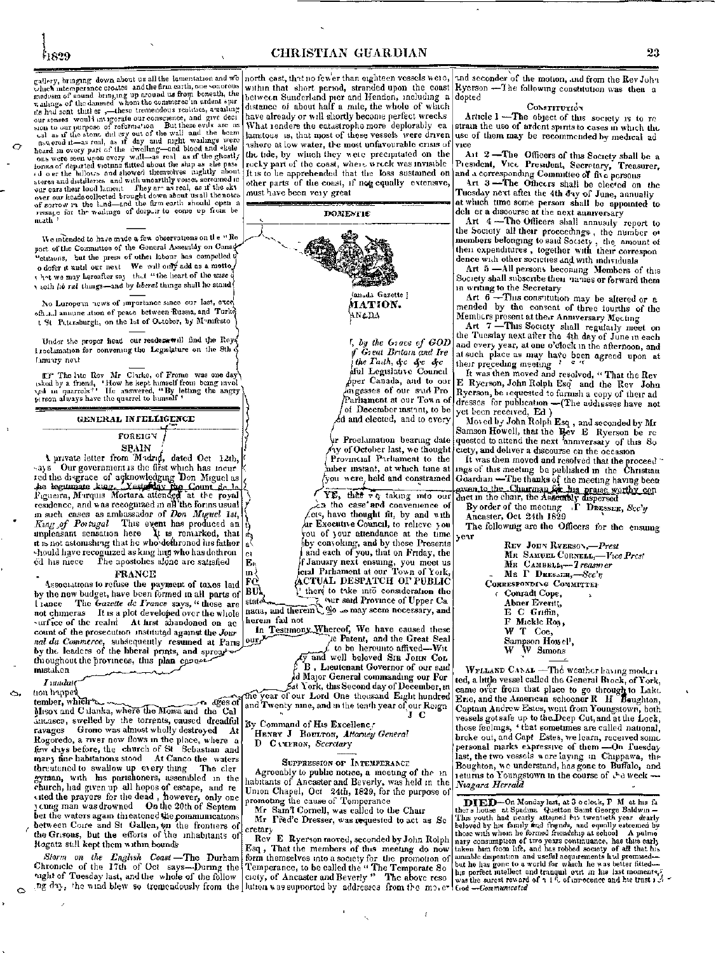# CHRISTIAN GUARDIAN

gallery, bringing down about us all the lamentation and wo wheth untemperance creates and the firm earth, one sonorous medium of sound bringing up arouad us from boneath, the wallings of the danned whom the conmerce in at gallery, bringing down about us all the lamentation and wo

We intended to have made a few observations on the "Ro port of the Commuttee of the General Assembly on Canady<br>"etitions, but the press of other labour has compelled o defer it antil our next We will only add as a motto that we may hereafter say that "the heart of the wise v seih ho rai things-and by hoeral things shall he stand

No Luropeva news of importance since our last, exc ofhold aminne atton of peace between Russia, and Turke t St Petersburgh, on the 1st of October, by Manifesto

Under the proper head our readers will find the Royal freedomation for convening the Legislature on the 8th  $\zeta$ faminey next

IT The late Rev Mr Clarke, of Frome was one day<br>the day a friend, 'How he kept himself from being involtaged in quarrels?' He answered, "By letting the angry<br>person always have the quarrel to lumself '

# GENERAL INTELLIGENCE

# FOREIGY SPAIN

1 private letter from Mudrig, dated Oct 12th,  $\sim$ ays Our government is the first which has meur red the disgrace of agknowledging Don Miguel as<br>the beginnate king. Nestation the Count de la.<br>Figuerra, Mirquis Mortera attended at the royal residence, and was recognized in all the forms usual m such cases as ambassador of Don Miguel 1st,<br>  $Kng$  of Portugal This event has produced an unpleasant sensation here the sproduced and unpleasant sensation here the spreader of the spreader ्<br>ब -hould have recognized as king hun who has defired<br>cd his mece Phe apostolics alone are satisfied e)  ${\bf E}_k$ **FRANCE** ın٠

Associations to refuse the payment of taxes laid BU) by the new budget, have been formed in all parts of<br>I rance The Gazette dc France says, "these are state not chimeras It is a plot developed over the whole<br>surface of the realm At first abandoned on ac and du Commerce, subsequently resumed at Paris our action is an interest. We have caused these nad du Commerce, subsequently resumed at Paris our Merced, Whereof, We have caused these here and du Commerce, subsequently res mistaken

 $\boldsymbol{I}$  undatt

tion bapped

 $\circ$ 

tember, which to n dges of Misox and C danka, where the Moisa and the Cal ancasca, swelled by the torrents, caused dreadful Grono was almost wholly destroyed At ravages Rogoredo, a river now flows in the place, where a few duys before, the church of St Schastian and mary fine habitations stood At Canco the waters threatened to swallow up every thing The cler<br>gyman, with his parishoners, assembled in the church, had given up all hopes of escape, and re sted the prayers for the dead, however, only one ber the waters again threatened the communications between Coire and St Gallen, on the frontiers of the Grisons, but the efforts of the inhabitants of Rogatz still kept them within bounds

Storm on the English Coast -The Durham<br>Chronicle of the 17th of Oct says-During the night of Tuesday last, and the whole of the follow

north cast, that no fewer than eighteen vessels were, within that short period, stranded upon the coast between Sunderland per and Hendon, including a distance of about half a mile, the whole of which have already or will shortly become perfect wrecks What renders the catastrophe more deplorably ca lamitous is, that most of these vessels were driven ashore at low water, the most unfavourable crisis of the tide, by which they were precipitated on the rocky part of the coast, where wreck was invisible

It is to be apprehended that the loss sustained on other parts of the coast, if not equally extensive, must have been very great

DOMESTIE



I, by the Grace of GOD of Great Britain and Ire the Tauh, &c &c &c<br>aful Legislative Council  $\rho$ per Canada, and to our ingesses of our sud Pro Parhament at our Town of of December instant, to be d and elected, and to every

er Proclamation bearing date wy of October last, we thought Provincial Parliament to the mber mstant, at which time at you were, held and constrained

YE, that vo taking into our ets, have thought fit, by and with Ar Executive Council, to relieve you you of your attendance at the time by convoking, and by these Presents and each of you, that on Friday, the f January next ensuing, you meet us<br>jetal Pirhament at our Town of York, ACTUAL DESPATCH OF PUBLIC there to take into consideration the our said Province of Upper Ca nana, and therein 20 as may seem necessary, and

B, Lieutenant Governor of our said d Major General commanding our For

at York, this Second day of December, in he year of our Lord One thousand Eight hundred and Twenty nine, and in the tenth year of our Reign J C

By Command of His Excellenc, HENRY J BOULTON, Attorney General

D CAMPRON, Secretary

# SUPPRESSION OF INTEMPERANCE

Agreeably to public notice, a meeting of the in habitants of Ancaster and Beverly, was held in the Union Chapel, Oct 24th, 1829, for the purpose of promoting the cause of Temperance

Mr Sam'l Cornell, was called to the Chair Mr Fred'e Dresser, was requested to act as Se cretary

Rev E Ryerson moved, seconded by John Rolph Esq, That the members of this meeting do now form themselves into a society for the promotion of Temperance, to be called the "The Temperate So ciety, of Ancaster and Beverly "The above reso ng day, the wind blew so tremendously from the lutton was supported by addresses from the move lood -Communicated

and seconder of the motion, and from the Rev John Ryerson - The following constitution was then a dopted

# CONSTITUTION

Article 1 -The object of this society is to restrain the use of ardent spirits to cases in which the use of them may be recommended by medical ad vice

Ant 2 — The Officers of this Society shall be a<br>President, Vice President, Secretary, Treasurer, and a corresponding Committee of five persons<br>Art 3 -- The Othecrs shall be elected on the

Tuesday next after the 4th day of June, annually at which time some person shall be appointed to delt er a discourse at the next anniversary

Art 4-The Officers shall annually report to the Society all their proceedings, the number of members belonging to said Society, the amount of<br>their expenditures, together with their correspon dence with other societies and with individuals

Art 5 -All persons becoming Members of this Society shall subscribe their names or forward them in writing to the Secretary<br>Art 6 —This constitution may be altered or a

mended by the consent of three fourths of the<br>Members present at their Annwersary Meeting<br>Art 7 —This Society shall regularly meet on

the Tuesday next after the 4th day of June in each and every year, at one o'clock in the afternoon, and<br>at such place as may have been agreed upon at their preceding meeting ? \* "

E Ryerson, John Rolph Esq and the Rev John Rycrson, be requested to furnish a copy of their ad dresses for publication -- (The addresses have not yet been received, Ed }

Moved by John Rolph Esq, and seconded by Mr Samson Howell, that the Bev E Ryerson be re quested to attend the next anniversary of this So ciety, and deliver a discourse on the occasion

It was then moved and resolved that the proceed ngs of this meeting be published in the Christian Guardian -The thanks of the meeting having been outential the Chairman Cr. has praise worthy conduct in the chairman Cr. has praise worthy conduct in the chair the Assembly dispersed<br>By order of the meeting I. DEESSER, Sec'y Ancaster, Oct 24th 1829

The following arc the Officers for the ensuing чем

REV JOHN RVERSON,-Prest

MR SAMUEL CORNELL,-Vice Prest

MR  $C$ AMBEL2<sub>1</sub>-7 reasmer

ME  $\Gamma$  DEESSER,-Sec't

CORRESPONDING COMMITTER

Conradt Cope,

Abner Everitt,

E C Griffin,<br>F Mickle Roy,

 $\mathbf{\bar{W}}$  T Coe,

Sampson Howel',<br>W W Simons

WFLLAND CANAL -The weather having moder a ted, a little vessel called the General Brock, of  ${\bf Y}$ ork, came over from that place to go through to Lake.<br>Erie, and the American schooner R H Boughton, Captain Andrew Estes, went from Youngstown, both ressels gotsafe up to the Deep Cut, and at the Lock, those feelmgs, 'that sometimes are called national, broke out, and Capt Estes, we learn, received some personal marks expressive of them -On Fuesday ast, the two vessels were laying in Chippawa, the Boughton, we understand, has gone to Buffalo, and eturns to Youngstown in the course of the week -Nuagara Herrald

DIED-On Monday last, at 3 o clock, P M at his fa<br>ther s house at Spadina Quetton Saint George Baldwin -<br>This youth had nearly attained bis twentieth year dearly<br>beloved by his family and friends, and equally esteemed by<br>th those with whom ne formed irlendening at school A pulmo<br>have consumption of two years continuance, has thus early<br>taken him from life, and has robbed society of all that his<br>annable disposition and useful acquirements had

\$1829